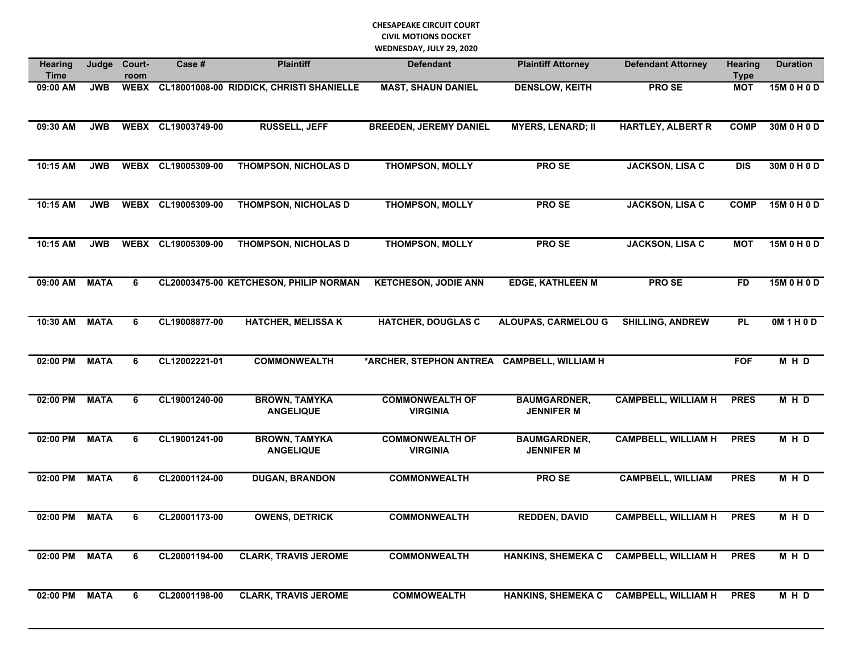## **CHESAPEAKE CIRCUIT COURT CIVIL MOTIONS DOCKET WEDNESDAY, JULY 29, 2020**

| <b>Hearing</b><br><b>Time</b> | Judge       | Court-<br>room | Case #             | <b>Plaintiff</b>                              | <b>Defendant</b>                          | <b>Plaintiff Attorney</b>                | <b>Defendant Attorney</b>              | <b>Hearing</b><br><b>Type</b> | <b>Duration</b> |
|-------------------------------|-------------|----------------|--------------------|-----------------------------------------------|-------------------------------------------|------------------------------------------|----------------------------------------|-------------------------------|-----------------|
| $09:00$ AM                    | <b>JWB</b>  |                |                    | WEBX CL18001008-00 RIDDICK, CHRISTI SHANIELLE | <b>MAST, SHAUN DANIEL</b>                 | <b>DENSLOW, KEITH</b>                    | <b>PROSE</b>                           | <b>MOT</b>                    | 15M 0 H 0 D     |
| 09:30 AM                      | <b>JWB</b>  |                | WEBX CL19003749-00 | <b>RUSSELL, JEFF</b>                          | <b>BREEDEN, JEREMY DANIEL</b>             | <b>MYERS, LENARD; II</b>                 | <b>HARTLEY, ALBERT R</b>               | <b>COMP</b>                   | 30M 0 H 0 D     |
| 10:15 AM                      | <b>JWB</b>  |                | WEBX CL19005309-00 | <b>THOMPSON, NICHOLAS D</b>                   | <b>THOMPSON, MOLLY</b>                    | <b>PROSE</b>                             | <b>JACKSON, LISA C</b>                 | <b>DIS</b>                    | 30M 0 H 0 D     |
| 10:15 AM                      | <b>JWB</b>  |                | WEBX CL19005309-00 | <b>THOMPSON, NICHOLAS D</b>                   | THOMPSON, MOLLY                           | <b>PROSE</b>                             | <b>JACKSON, LISA C</b>                 | <b>COMP</b>                   | 15M 0 H 0 D     |
| 10:15 AM                      | <b>JWB</b>  |                | WEBX CL19005309-00 | THOMPSON, NICHOLAS D                          | <b>THOMPSON, MOLLY</b>                    | PRO SE                                   | <b>JACKSON, LISA C</b>                 | <b>MOT</b>                    | 15M 0 H 0 D     |
| 09:00 AM                      | <b>MATA</b> | 6              |                    | CL20003475-00 KETCHESON, PHILIP NORMAN        | <b>KETCHESON, JODIE ANN</b>               | <b>EDGE, KATHLEEN M</b>                  | <b>PROSE</b>                           | <b>FD</b>                     | 15M 0 H 0 D     |
| 10:30 AM                      | <b>MATA</b> | 6              | CL19008877-00      | <b>HATCHER, MELISSA K</b>                     | <b>HATCHER, DOUGLAS C</b>                 | <b>ALOUPAS, CARMELOU G</b>               | <b>SHILLING, ANDREW</b>                | <b>PL</b>                     | OM1H0D          |
| 02:00 PM                      | <b>MATA</b> | 6              | CL12002221-01      | <b>COMMONWEALTH</b>                           | *ARCHER, STEPHON ANTREA                   | <b>CAMPBELL, WILLIAM H</b>               |                                        | <b>FOF</b>                    | M H D           |
| 02:00 PM                      | <b>MATA</b> | 6              | CL19001240-00      | <b>BROWN, TAMYKA</b><br><b>ANGELIQUE</b>      | <b>COMMONWEALTH OF</b><br><b>VIRGINIA</b> | <b>BAUMGARDNER,</b><br><b>JENNIFER M</b> | <b>CAMPBELL, WILLIAM H</b>             | <b>PRES</b>                   | M H D           |
| 02:00 PM                      | <b>MATA</b> | 6              | CL19001241-00      | <b>BROWN, TAMYKA</b><br><b>ANGELIQUE</b>      | <b>COMMONWEALTH OF</b><br><b>VIRGINIA</b> | <b>BAUMGARDNER,</b><br><b>JENNIFER M</b> | <b>CAMPBELL, WILLIAM H</b>             | <b>PRES</b>                   | M H D           |
| 02:00 PM                      | <b>MATA</b> | 6              | CL20001124-00      | <b>DUGAN, BRANDON</b>                         | <b>COMMONWEALTH</b>                       | <b>PROSE</b>                             | <b>CAMPBELL, WILLIAM</b>               | <b>PRES</b>                   | M H D           |
| 02:00 PM                      | <b>MATA</b> | 6              | CL20001173-00      | <b>OWENS, DETRICK</b>                         | <b>COMMONWEALTH</b>                       | <b>REDDEN, DAVID</b>                     | <b>CAMPBELL, WILLIAM H</b>             | <b>PRES</b>                   | M H D           |
| 02:00 PM MATA                 |             | 6              | CL20001194-00      | <b>CLARK, TRAVIS JEROME</b>                   | <b>COMMONWEALTH</b>                       |                                          | HANKINS, SHEMEKA C CAMPBELL, WILLIAM H | <b>PRES</b>                   | MHD             |
| 02:00 PM                      | <b>MATA</b> | 6              | CL20001198-00      | <b>CLARK, TRAVIS JEROME</b>                   | <b>COMMOWEALTH</b>                        |                                          | HANKINS, SHEMEKA C CAMBPELL, WILLIAM H | <b>PRES</b>                   | MHD             |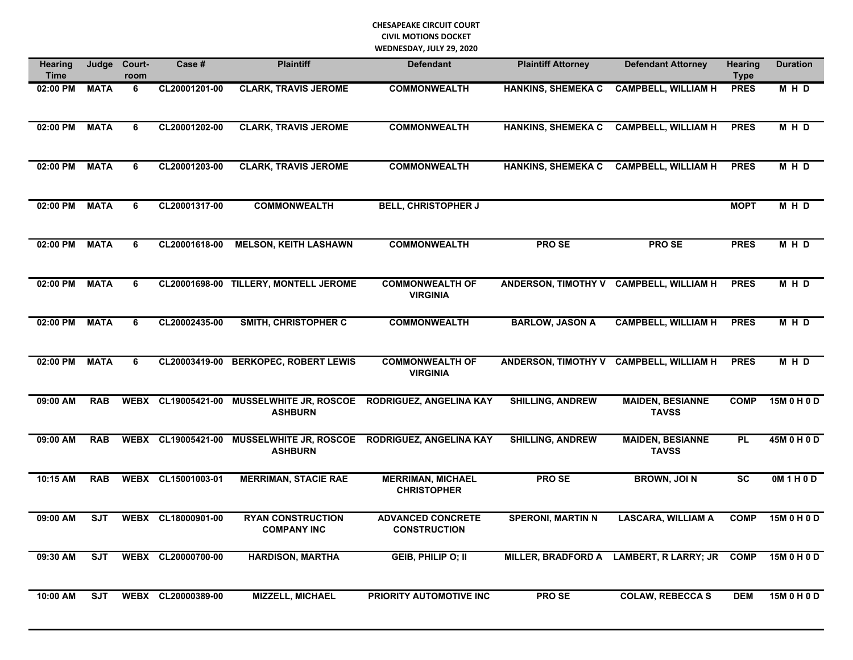## **CHESAPEAKE CIRCUIT COURT CIVIL MOTIONS DOCKET WEDNESDAY, JULY 29, 2020**

| <b>Hearing</b><br><b>Time</b> | Judge       | Court-<br>room | Case #             | <b>Plaintiff</b>                                | <b>Defendant</b>                                | <b>Plaintiff Attorney</b>               | <b>Defendant Attorney</b>               | <b>Hearing</b><br><b>Type</b> | <b>Duration</b> |
|-------------------------------|-------------|----------------|--------------------|-------------------------------------------------|-------------------------------------------------|-----------------------------------------|-----------------------------------------|-------------------------------|-----------------|
| 02:00 PM                      | <b>MATA</b> | 6              | CL20001201-00      | <b>CLARK, TRAVIS JEROME</b>                     | <b>COMMONWEALTH</b>                             | <b>HANKINS, SHEMEKA C</b>               | <b>CAMPBELL, WILLIAM H</b>              | <b>PRES</b>                   | MHD             |
| 02:00 PM                      | <b>MATA</b> | 6              | CL20001202-00      | <b>CLARK, TRAVIS JEROME</b>                     | <b>COMMONWEALTH</b>                             | <b>HANKINS, SHEMEKA C</b>               | <b>CAMPBELL, WILLIAM H</b>              | <b>PRES</b>                   | M H D           |
| 02:00 PM                      | <b>MATA</b> | 6              | CL20001203-00      | <b>CLARK, TRAVIS JEROME</b>                     | <b>COMMONWEALTH</b>                             | <b>HANKINS, SHEMEKA C</b>               | <b>CAMPBELL, WILLIAM H</b>              | <b>PRES</b>                   | M H D           |
| 02:00 PM                      | <b>MATA</b> | 6              | CL20001317-00      | <b>COMMONWEALTH</b>                             | <b>BELL, CHRISTOPHER J</b>                      |                                         |                                         | <b>MOPT</b>                   | M H D           |
| 02:00 PM                      | <b>MATA</b> | 6              | CL20001618-00      | <b>MELSON, KEITH LASHAWN</b>                    | <b>COMMONWEALTH</b>                             | <b>PROSE</b>                            | <b>PROSE</b>                            | <b>PRES</b>                   | $M$ H D         |
| 02:00 PM                      | <b>MATA</b> | 6              |                    | CL20001698-00 TILLERY, MONTELL JEROME           | <b>COMMONWEALTH OF</b><br><b>VIRGINIA</b>       | ANDERSON, TIMOTHY V CAMPBELL, WILLIAM H |                                         | <b>PRES</b>                   | M H D           |
| 02:00 PM                      | <b>MATA</b> | 6              | CL20002435-00      | SMITH, CHRISTOPHER C                            | <b>COMMONWEALTH</b>                             | <b>BARLOW, JASON A</b>                  | <b>CAMPBELL, WILLIAM H</b>              | <b>PRES</b>                   | M H D           |
| 02:00 PM                      | <b>MATA</b> | 6              |                    | CL20003419-00 BERKOPEC, ROBERT LEWIS            | <b>COMMONWEALTH OF</b><br><b>VIRGINIA</b>       |                                         | ANDERSON, TIMOTHY V CAMPBELL, WILLIAM H | <b>PRES</b>                   | M H D           |
| 09:00 AM                      | <b>RAB</b>  |                | WEBX CL19005421-00 | <b>ASHBURN</b>                                  | MUSSELWHITE JR, ROSCOE RODRIGUEZ, ANGELINA KAY  | <b>SHILLING, ANDREW</b>                 | <b>MAIDEN, BESIANNE</b><br><b>TAVSS</b> | <b>COMP</b>                   | 15M 0 H 0 D     |
| 09:00 AM                      | <b>RAB</b>  |                | WEBX CL19005421-00 | <b>MUSSELWHITE JR, ROSCOE</b><br><b>ASHBURN</b> | <b>RODRIGUEZ, ANGELINA KAY</b>                  | <b>SHILLING, ANDREW</b>                 | <b>MAIDEN, BESIANNE</b><br><b>TAVSS</b> | <b>PL</b>                     | 45M 0 H 0 D     |
| 10:15 AM                      | <b>RAB</b>  |                | WEBX CL15001003-01 | <b>MERRIMAN, STACIE RAE</b>                     | <b>MERRIMAN, MICHAEL</b><br><b>CHRISTOPHER</b>  | <b>PROSE</b>                            | <b>BROWN, JOIN</b>                      | $\overline{\text{sc}}$        | 0M 1 H 0 D      |
| 09:00 AM                      | <b>SJT</b>  |                | WEBX CL18000901-00 | <b>RYAN CONSTRUCTION</b><br><b>COMPANY INC</b>  | <b>ADVANCED CONCRETE</b><br><b>CONSTRUCTION</b> | <b>SPERONI, MARTIN N</b>                | <b>LASCARA, WILLIAM A</b>               | <b>COMP</b>                   | 15M 0 H 0 D     |
| 09:30 AM                      | <b>SJT</b>  |                | WEBX CL20000700-00 | <b>HARDISON, MARTHA</b>                         | <b>GEIB, PHILIP O; II</b>                       | <b>MILLER, BRADFORD A</b>               | LAMBERT, R LARRY; JR COMP               |                               | 15M 0 H 0 D     |
| 10:00 AM                      | <b>SJT</b>  |                | WEBX CL20000389-00 | MIZZELL, MICHAEL                                | PRIORITY AUTOMOTIVE INC                         | <b>PROSE</b>                            | <b>COLAW, REBECCA S</b>                 | <b>DEM</b>                    | 15M 0 H 0 D     |